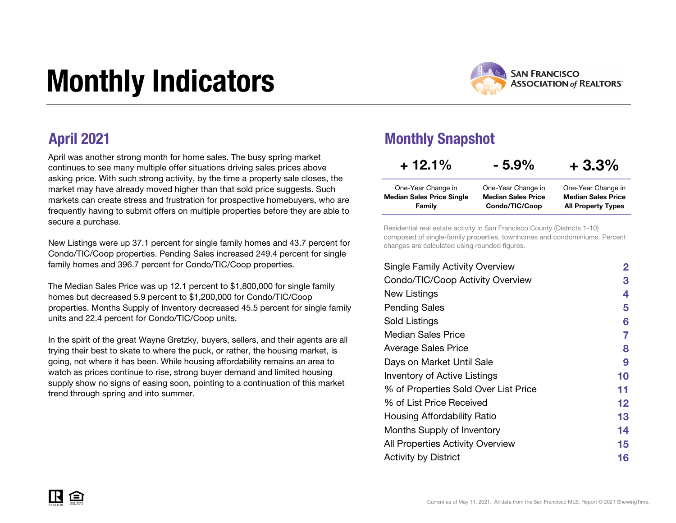# Monthly Indicators



All Property Types

April was another strong month for home sales. The busy spring market continues to see many multiple offer situations driving sales prices above asking price. With such strong activity, by the time a property sale closes, the market may have already moved higher than that sold price suggests. Such markets can create stress and frustration for prospective homebuyers, who are frequently having to submit offers on multiple properties before they are able to secure a purchase.

New Listings were up 37.1 percent for single family homes and 43.7 percent for Condo/TIC/Coop properties. Pending Sales increased 249.4 percent for single family homes and 396.7 percent for Condo/TIC/Coop properties.

The Median Sales Price was up 12.1 percent to \$1,800,000 for single family homes but decreased 5.9 percent to \$1,200,000 for Condo/TIC/Coop properties. Months Supply of Inventory decreased 45.5 percent for single family units and 22.4 percent for Condo/TIC/Coop units.

In the spirit of the great Wayne Gretzky, buyers, sellers, and their agents are all trying their best to skate to where the puck, or rather, the housing market, is going, not where it has been. While housing affordability remains an area to watch as prices continue to rise, strong buyer demand and limited housing supply show no signs of easing soon, pointing to a continuation of this market trend through spring and into summer.

### April 2021 Monthly Snapshot

Family

| $+12.1%$                  | $-5.9%$                   | $+3.3%$                   |
|---------------------------|---------------------------|---------------------------|
| One-Year Change in        | One-Year Change in        | One-Year Change in        |
| Median Sales Price Single | <b>Median Sales Price</b> | <b>Median Sales Price</b> |

Condo/TIC/Coop

Residential real estate activity in San Francisco County (Districts 1-10) composed of single-family properties, townhomes and condominiums. Percent changes are calculated using rounded figures.

| <b>Single Family Activity Overview</b> | 2  |
|----------------------------------------|----|
| Condo/TIC/Coop Activity Overview       | 3  |
| New Listings                           | 4  |
| <b>Pending Sales</b>                   | 5  |
| Sold Listings                          | 6  |
| Median Sales Price                     | 7  |
| <b>Average Sales Price</b>             | 8  |
| Days on Market Until Sale              | 9  |
| Inventory of Active Listings           | 10 |
| % of Properties Sold Over List Price   | 11 |
| % of List Price Received               | 12 |
| Housing Affordability Ratio            | 13 |
| Months Supply of Inventory             | 14 |
| All Properties Activity Overview       | 15 |
| <b>Activity by District</b>            | 16 |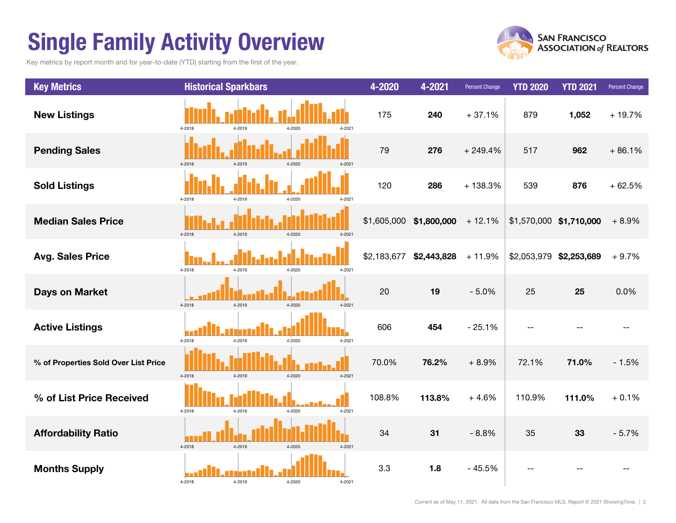## Single Family Activity Overview

Key metrics by report month and for year-to-date (YTD) starting from the first of the year.



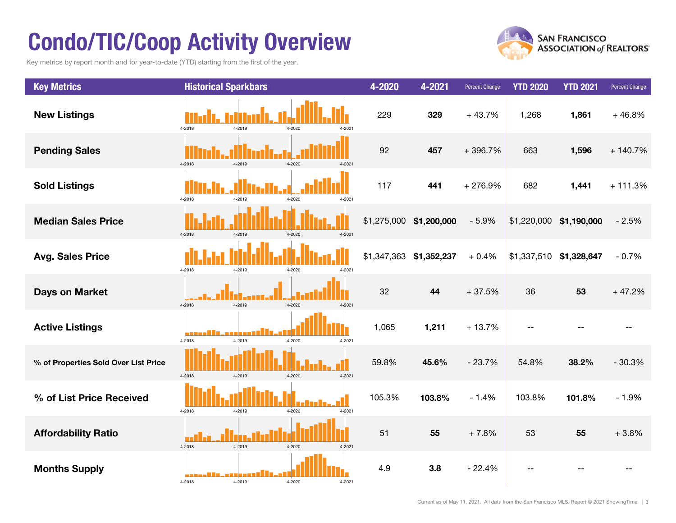## Condo/TIC/Coop Activity Overview

Key metrics by report month and for year-to-date (YTD) starting from the first of the year.



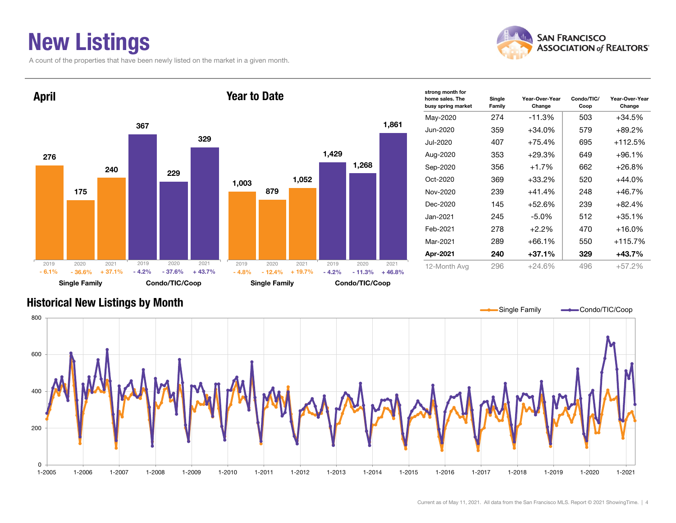### New Listings

A count of the properties that have been newly listed on the market in a given month.





| strong month for<br>home sales. The<br>busy spring market | Single<br>Family | Year-Over-Year<br>Change | Condo/TIC/<br>Coop | Year-Over-Year<br>Change |
|-----------------------------------------------------------|------------------|--------------------------|--------------------|--------------------------|
| May-2020                                                  | 274              | -11.3%                   | 503                | +34.5%                   |
| Jun-2020                                                  | 359              | $+34.0%$                 | 579                | +89.2%                   |
| Jul-2020                                                  | 407              | +75.4%                   | 695                | +112.5%                  |
| Aug-2020                                                  | 353              | $+29.3%$                 | 649                | $+96.1%$                 |
| Sep-2020                                                  | 356              | $+1.7%$                  | 662                | $+26.8%$                 |
| $Oct-2020$                                                | 369              | $+33.2%$                 | 520                | +44.0%                   |
| Nov-2020                                                  | 239              | $+41.4%$                 | 248                | +46.7%                   |
| Dec-2020                                                  | 145              | $+52.6%$                 | 239                | $+82.4%$                 |
| Jan-2021                                                  | 245              | $-5.0\%$                 | 512                | $+35.1%$                 |
| Feb-2021                                                  | 278              | $+2.2\%$                 | 470                | +16.0%                   |
| Mar-2021                                                  | 289              | $+66.1%$                 | 550                | +115.7%                  |
| Apr-2021                                                  | 240              | $+37.1%$                 | 329                | +43.7%                   |
| 12-Month Avg                                              | 296              | $+24.6%$                 | 496                | $+57.2%$                 |

#### Historical New Listings by Month

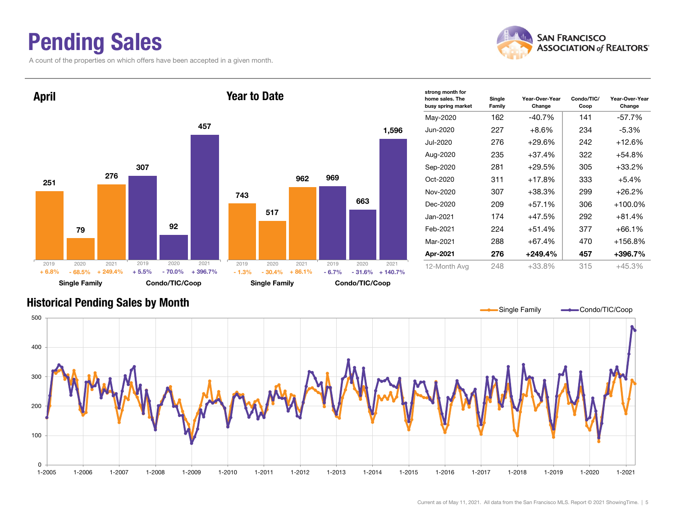### Pending Sales

A count of the properties on which offers have been accepted in a given month.





| strong month for<br>home sales. The<br>busy spring market | Single<br>Family | Year-Over-Year<br>Change | Condo/TIC/<br>Coop | Year-Over-Year<br>Change |  |
|-----------------------------------------------------------|------------------|--------------------------|--------------------|--------------------------|--|
| May-2020                                                  | 162              | $-40.7\%$                | 141                | -57.7%                   |  |
| Jun-2020                                                  | 227              | +8.6%                    | 234                | $-5.3\%$                 |  |
| Jul-2020                                                  | 276              | $+29.6%$                 | 242                | $+12.6%$                 |  |
| Aug-2020                                                  | 235              | $+37.4%$                 | 322                | +54.8%                   |  |
| Sep-2020                                                  | 281              | $+29.5%$                 | 305                | $+33.2%$                 |  |
| $Oct-2020$                                                | 311              | $+17.8%$                 | 333                | $+5.4%$                  |  |
| Nov-2020                                                  | 307              | $+38.3%$                 | 299                | $+26.2%$                 |  |
| Dec-2020                                                  | 209              | +57.1%                   | 306                | $+100.0\%$               |  |
| Jan-2021                                                  | 174              | +47.5%                   | 292                | $+81.4%$                 |  |
| Feb-2021                                                  | 224              | $+51.4%$                 | 377                | $+66.1%$                 |  |
| Mar-2021                                                  | 288              | $+67.4%$                 | 470                | +156.8%                  |  |
| Apr-2021                                                  | 276              | $+249.4%$                | 457                | +396.7%                  |  |
| 12-Month Avg                                              | 248              | $+33.8%$                 | 315                | $+45.3%$                 |  |

#### Historical Pending Sales by Month

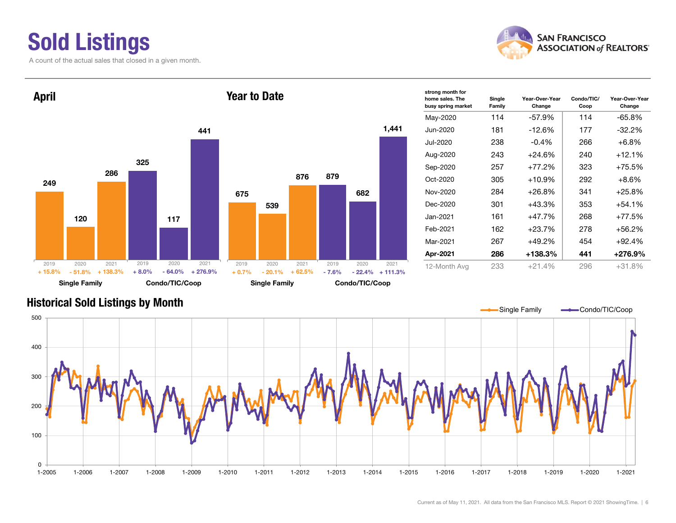### Sold Listings

A count of the actual sales that closed in a given month.





| strong month for<br>home sales. The<br>busy spring market | Single<br>Family | Year-Over-Year<br>Change | Condo/TIC/<br>Coop | Year-Over-Year<br>Change |
|-----------------------------------------------------------|------------------|--------------------------|--------------------|--------------------------|
| May-2020                                                  | 114              | -57.9%                   | 114                | -65.8%                   |
| Jun-2020                                                  | 181              | $-12.6%$                 | 177                | $-32.2%$                 |
| Jul-2020                                                  | 238              | $-0.4\%$                 | 266                | $+6.8\%$                 |
| Aug-2020                                                  | 243              | $+24.6%$                 | 240                | +12.1%                   |
| Sep-2020                                                  | 257              | $+77.2%$                 | 323                | +75.5%                   |
| $Oct-2020$                                                | 305              | $+10.9%$                 | 292                | $+8.6%$                  |
| Nov-2020                                                  | 284              | +26.8%                   | 341                | +25.8%                   |
| Dec-2020                                                  | 301              | $+43.3%$                 | 353                | +54.1%                   |
| Jan-2021                                                  | 161              | $+47.7%$                 | 268                | +77.5%                   |
| Feb-2021                                                  | 162              | $+23.7%$                 | 278                | +56.2%                   |
| Mar-2021                                                  | 267              | $+49.2%$                 | 454                | +92.4%                   |
| Apr-2021                                                  | 286              | +138.3%                  | 441                | +276.9%                  |
| 12-Month Avg                                              | 233              | $+21.4%$                 | 296                | $+31.8%$                 |

#### Historical Sold Listings by Month

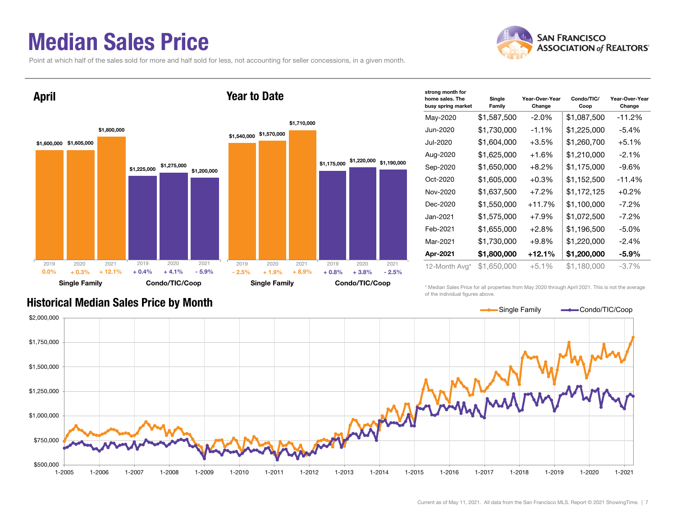### Median Sales Price

Point at which half of the sales sold for more and half sold for less, not accounting for seller concessions, in a given month.



| strong month for<br>home sales. The<br>busy spring market | Single<br>Family | Year-Over-Year<br>Change | Condo/TIC/<br>Coop | Year-Over-Year<br>Change |
|-----------------------------------------------------------|------------------|--------------------------|--------------------|--------------------------|
| May-2020                                                  | \$1,587,500      | $-2.0\%$                 | \$1,087,500        | $-11.2%$                 |
| Jun-2020                                                  | \$1,730,000      | $-1.1\%$                 | \$1,225,000        | $-5.4%$                  |
| Jul-2020                                                  | \$1,604,000      | $+3.5%$                  | \$1,260,700        | $+5.1%$                  |
| Aug-2020                                                  | \$1,625,000      | $+1.6%$                  | \$1,210,000        | $-2.1%$                  |
| Sep-2020                                                  | \$1,650,000      | $+8.2%$                  | \$1,175,000        | $-9.6%$                  |
| Oct-2020                                                  | \$1,605,000      | $+0.3%$                  | \$1,152,500        | $-11.4%$                 |
| Nov-2020                                                  | \$1,637,500      | $+7.2%$                  | \$1,172,125        | $+0.2%$                  |
| Dec-2020                                                  | \$1,550,000      | $+11.7%$                 | \$1,100,000        | $-7.2\%$                 |
| Jan-2021                                                  | \$1,575,000      | $+7.9%$                  | \$1,072,500        | $-7.2\%$                 |
| Feb-2021                                                  | \$1,655,000      | $+2.8%$                  | \$1,196,500        | $-5.0\%$                 |
| Mar-2021                                                  | \$1,730,000      | $+9.8%$                  | \$1,220,000        | $-2.4%$                  |
| Apr-2021                                                  | \$1,800,000      | +12.1%                   | \$1,200,000        | $-5.9\%$                 |
| 12-Month Avg*                                             | \$1,650,000      | $+5.1%$                  | \$1,180,000        | $-3.7%$                  |

#### Historical Median Sales Price by Month

\* Median Sales Price for all properties from May 2020 through April 2021. This is not the average of the individual figures above.



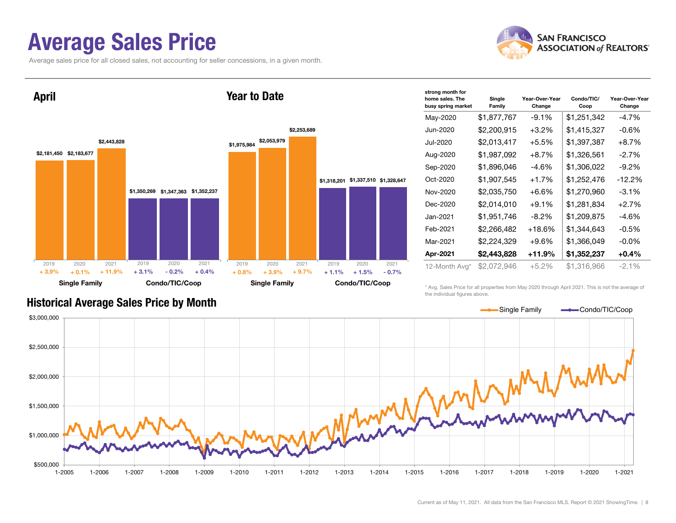### Average Sales Price

Average sales price for all closed sales, not accounting for seller concessions, in a given month.





| strong month for<br>home sales. The<br>busy spring market | Single<br>Family | Year-Over-Year<br>Change | Condo/TIC/<br>Coop | Year-Over-Year<br>Change |
|-----------------------------------------------------------|------------------|--------------------------|--------------------|--------------------------|
| May-2020                                                  | \$1,877,767      | $-9.1%$                  | \$1,251,342        | $-4.7%$                  |
| Jun-2020                                                  | \$2,200,915      | $+3.2\%$                 | \$1,415,327        | $-0.6\%$                 |
| Jul-2020                                                  | \$2,013,417      | $+5.5%$                  | \$1,397,387        | $+8.7%$                  |
| Aug-2020                                                  | \$1,987,092      | $+8.7\%$                 | \$1,326,561        | $-2.7%$                  |
| Sep-2020                                                  | \$1,896,046      | $-4.6%$                  | \$1,306,022        | $-9.2\%$                 |
| Oct-2020                                                  | \$1,907,545      | $+1.7%$                  | \$1,252,476        | $-12.2%$                 |
| Nov-2020                                                  | \$2,035,750      | $+6.6\%$                 | \$1,270,960        | $-3.1\%$                 |
| Dec-2020                                                  | \$2,014,010      | $+9.1%$                  | \$1,281,834        | $+2.7%$                  |
| Jan-2021                                                  | \$1,951,746      | $-8.2\%$                 | \$1,209,875        | -4.6%                    |
| Feb-2021                                                  | \$2,266,482      | $+18.6%$                 | \$1,344,643        | $-0.5%$                  |
| Mar-2021                                                  | \$2,224,329      | +9.6%                    | \$1,366,049        | $-0.0\%$                 |
| Apr-2021                                                  | \$2,443,828      | $+11.9%$                 | \$1,352,237        | $+0.4\%$                 |
| 12-Month Avg*                                             | \$2,072,946      | $+5.2\%$                 | \$1,316,966        | $-2.1\%$                 |

#### Historical Average Sales Price by Month

\* Avg. Sales Price for all properties from May 2020 through April 2021. This is not the average of the individual figures above.

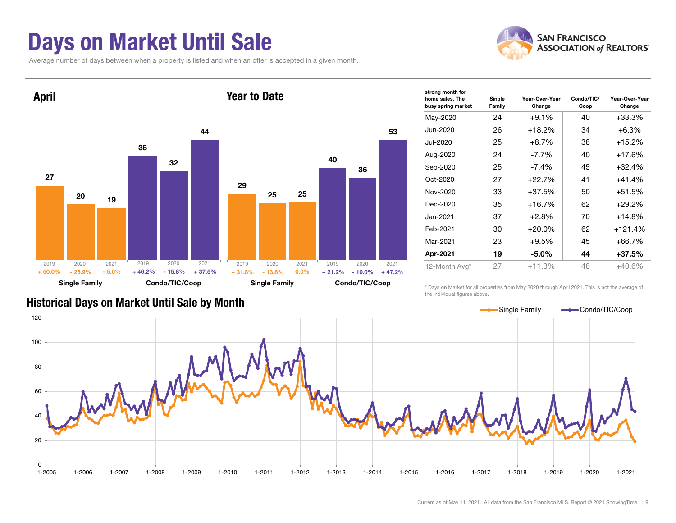### Days on Market Until Sale

Average number of days between when a property is listed and when an offer is accepted in a given month.





| strong month for<br>home sales. The<br>busy spring market | Single<br>Family | Year-Over-Year<br>Change | Condo/TIC/<br>Coop | Year-Over-Year<br>Change |  |
|-----------------------------------------------------------|------------------|--------------------------|--------------------|--------------------------|--|
| May-2020                                                  | 24               | $+9.1%$                  | 40                 | $+33.3%$                 |  |
| Jun-2020                                                  | 26               | $+18.2%$                 | 34                 | $+6.3%$                  |  |
| Jul-2020                                                  | 25               | $+8.7\%$                 | 38                 | $+15.2%$                 |  |
| Aug-2020                                                  | 24               | $-7.7\%$                 | 40                 | $+17.6%$                 |  |
| Sep-2020                                                  | 25               | $-7.4\%$                 | 45                 | $+32.4%$                 |  |
| Oct-2020                                                  | 27               | $+22.7%$                 | 41                 | $+41.4%$                 |  |
| Nov-2020                                                  | 33               | $+37.5%$                 | 50                 | $+51.5%$                 |  |
| Dec-2020                                                  | 35               | $+16.7%$                 | 62                 | $+29.2%$                 |  |
| Jan-2021                                                  | 37               | $+2.8%$                  | 70                 | $+14.8%$                 |  |
| Feb-2021                                                  | 30               | $+20.0%$                 | 62                 | $+121.4%$                |  |
| Mar-2021                                                  | 23               | $+9.5%$                  | 45                 | $+66.7%$                 |  |
| Apr-2021                                                  | 19               | -5.0%                    | 44                 | $+37.5%$                 |  |
| 12-Month Avg*                                             | 27               | $+11.3%$                 | 48                 | $+40.6%$                 |  |
|                                                           |                  |                          |                    |                          |  |

#### Historical Days on Market Until Sale by Month

\* Days on Market for all properties from May 2020 through April 2021. This is not the average of the individual figures above.

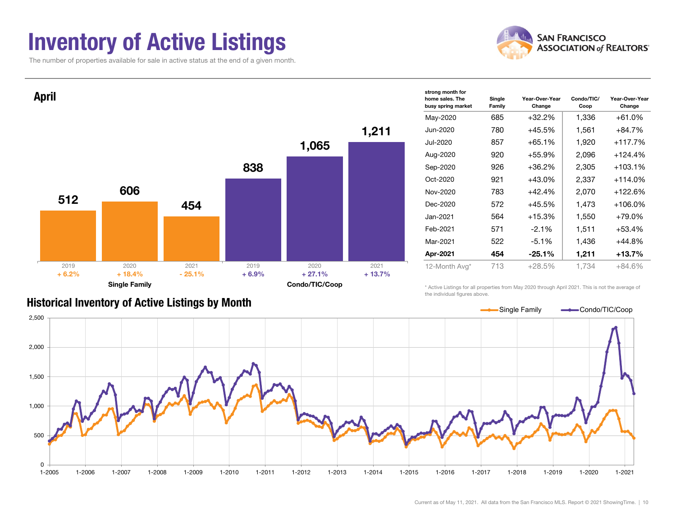### Inventory of Active Listings

The number of properties available for sale in active status at the end of a given month.





#### Historical Inventory of Active Listings by Month

the individual figures above.

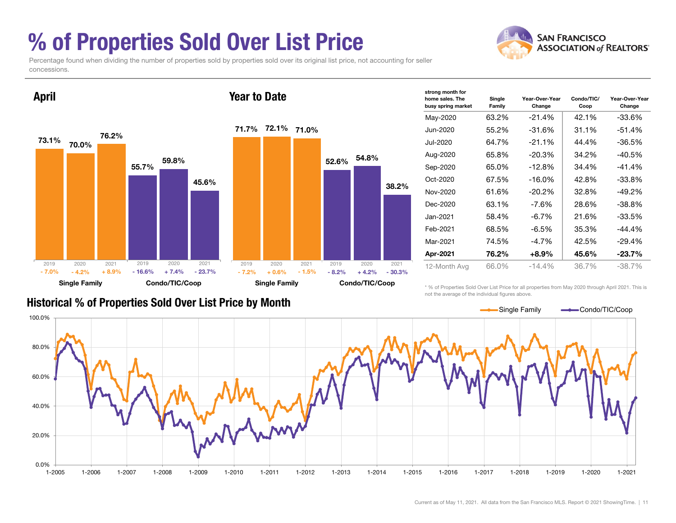### % of Properties Sold Over List Price

**SAN FRANCISCO ASSOCIATION of REALTORS'** 

Percentage found when dividing the number of properties sold by properties sold over its original list price, not accounting for seller concessions.



| strong month for<br>home sales. The<br>busy spring market | Single<br>Family | Year-Over-Year<br>Change | Condo/TIC/<br>Coop | Year-Over-Year<br>Change |
|-----------------------------------------------------------|------------------|--------------------------|--------------------|--------------------------|
| May-2020                                                  | 63.2%            | -21.4%                   | 42.1%              | $-33.6%$                 |
| Jun-2020                                                  | 55.2%            | -31.6%                   | 31.1%              | -51.4%                   |
| Jul-2020                                                  | 64.7%            | $-21.1%$                 | 44.4%              | $-36.5%$                 |
| Aug-2020                                                  | 65.8%            | -20.3%                   | 34.2%              | $-40.5%$                 |
| Sep-2020                                                  | 65.0%            | $-12.8%$                 | 34.4%              | $-41.4%$                 |
| Oct-2020                                                  | 67.5%            | $-16.0\%$                | 42.8%              | $-33.8%$                 |
| Nov-2020                                                  | 61.6%            | -20.2%                   | 32.8%              | $-49.2%$                 |
| Dec-2020                                                  | 63.1%            | $-7.6%$                  | 28.6%              | $-38.8%$                 |
| Jan-2021                                                  | 58.4%            | $-6.7\%$                 | 21.6%              | $-33.5%$                 |
| Feb-2021                                                  | 68.5%            | $-6.5%$                  | 35.3%              | -44.4%                   |
| Mar-2021                                                  | 74.5%            | $-4.7%$                  | 42.5%              | $-29.4%$                 |
| Apr-2021                                                  | 76.2%            | $+8.9%$                  | 45.6%              | $-23.7\%$                |
| 12-Month Avg                                              | 66.0%            | $-14.4%$                 | 36.7%              | $-38.7\%$                |

#### Historical % of Properties Sold Over List Price by Month

\* % of Properties Sold Over List Price for all properties from May 2020 through April 2021. This is not the average of the individual figures above.

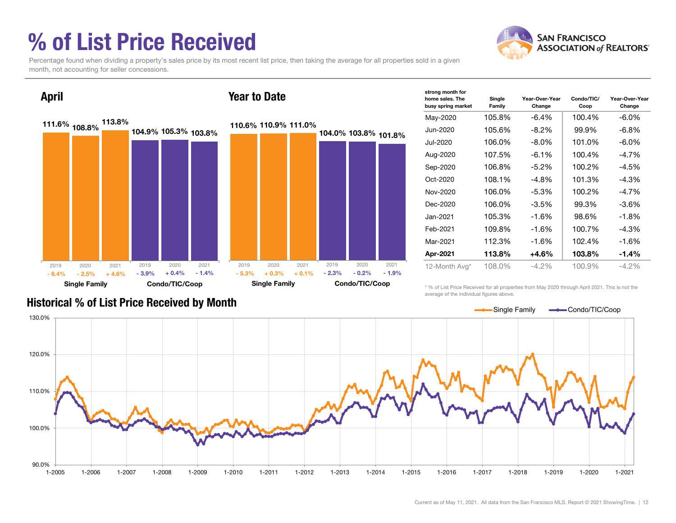### % of List Price Received



Percentage found when dividing a property's sales price by its most recent list price, then taking the average for all properties sold in a given month, not accounting for seller concessions.



| strong month for<br>home sales. The<br>busy spring market | Single<br>Family | Year-Over-Year<br>Change | Condo/TIC/<br>Coop | Year-Over-Year<br>Change |
|-----------------------------------------------------------|------------------|--------------------------|--------------------|--------------------------|
| May-2020                                                  | 105.8%           | $-6.4\%$                 | 100.4%             | -6.0%                    |
| Jun-2020                                                  | 105.6%           | $-8.2\%$                 | 99.9%              | $-6.8\%$                 |
| Jul-2020                                                  | 106.0%           | $-8.0\%$                 | 101.0%             | $-6.0\%$                 |
| Aug-2020                                                  | 107.5%           | $-6.1\%$                 | 100.4%             | $-4.7\%$                 |
| Sep-2020                                                  | 106.8%           | $-5.2\%$                 | 100.2%             | $-4.5%$                  |
| $Oct-2020$                                                | 108.1%           | $-4.8\%$                 | 101.3%             | $-4.3%$                  |
| Nov-2020                                                  | 106.0%           | $-5.3\%$                 | 100.2%             | $-4.7\%$                 |
| Dec-2020                                                  | 106.0%           | $-3.5\%$                 | 99.3%              | -3.6%                    |
| Jan-2021                                                  | 105.3%           | $-1.6%$                  | 98.6%              | $-1.8\%$                 |
| Feb-2021                                                  | 109.8%           | $-1.6%$                  | 100.7%             | $-4.3%$                  |
| Mar-2021                                                  | 112.3%           | $-1.6%$                  | 102.4%             | $-1.6%$                  |
| Apr-2021                                                  | 113.8%           | +4.6%                    | 103.8%             | $-1.4%$                  |
| 12-Month Avg*                                             | 108.0%           | $-4.2\%$                 | 100.9%             | $-4.2\%$                 |

Historical % of List Price Received by Month

\* % of List Price Received for all properties from May 2020 through April 2021. This is not the average of the individual figures above.

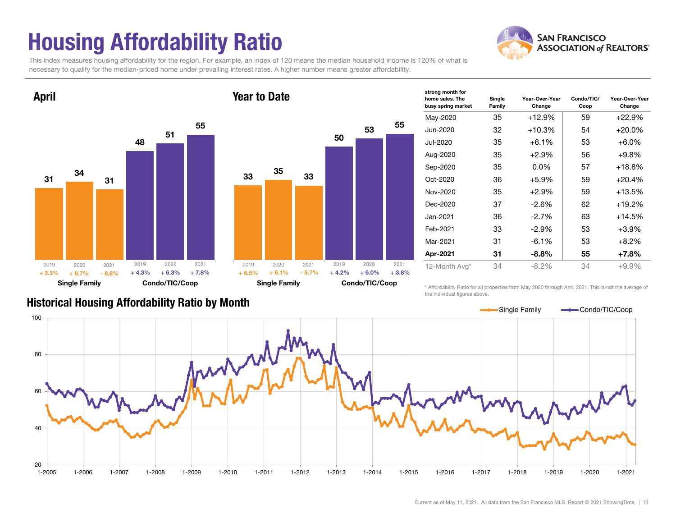## Housing Affordability Ratio

**SAN FRANCISCO ASSOCIATION of REALTORS'** 

This index measures housing affordability for the region. For example, an index of 120 means the median household income is 120% of what is necessary to qualify for the median-priced home under prevailing interest rates. A higher number means greater affordability.

Year to Date





| home sales. The<br>busy spring market | Single<br>Family | Year-Over-Year<br>Change | Condo/TIC/<br>Coop | Year-Over-Year<br>Change |
|---------------------------------------|------------------|--------------------------|--------------------|--------------------------|
| May-2020                              | 35               | $+12.9%$                 | 59                 | $+22.9%$                 |
| Jun-2020                              | 32               | $+10.3%$                 | 54                 | $+20.0\%$                |
| Jul-2020                              | 35               | $+6.1%$                  | 53                 | $+6.0%$                  |
| Aug-2020                              | 35               | +2.9%                    | 56                 | $+9.8\%$                 |
| Sep-2020                              | 35               | $0.0\%$                  | 57                 | $+18.8%$                 |
| Oct-2020                              | 36               | +5.9%                    | 59                 | $+20.4%$                 |
| Nov-2020                              | 35               | $+2.9\%$                 | 59                 | $+13.5%$                 |
| Dec-2020                              | 37               | $-2.6\%$                 | 62                 | $+19.2%$                 |
| Jan-2021                              | 36               | $-2.7%$                  | 63                 | $+14.5%$                 |
| Feb-2021                              | 33               | $-2.9\%$                 | 53                 | $+3.9%$                  |
| Mar-2021                              | 31               | $-6.1\%$                 | 53                 | $+8.2%$                  |
| Apr-2021                              | 31               | $-8.8\%$                 | 55                 | $+7.8%$                  |
| 12-Month Avg*                         | 34               | $-8.2%$                  | 34                 | $+9.9%$                  |

\* Affordability Ratio for all properties from May 2020 through April 2021. This is not the average of the individual figures above.

strong month for

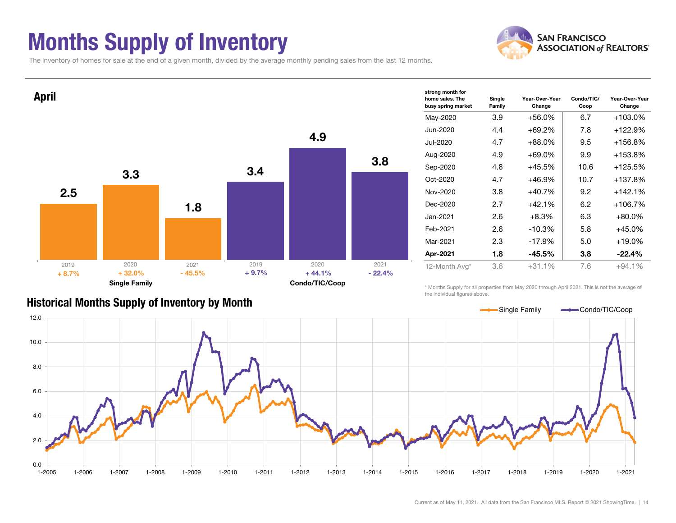### Months Supply of Inventory



The inventory of homes for sale at the end of a given month, divided by the average monthly pending sales from the last 12 months.



#### Historical Months Supply of Inventory by Month

\* Months Supply for all properties from May 2020 through April 2021. This is not the average of the individual figures above.

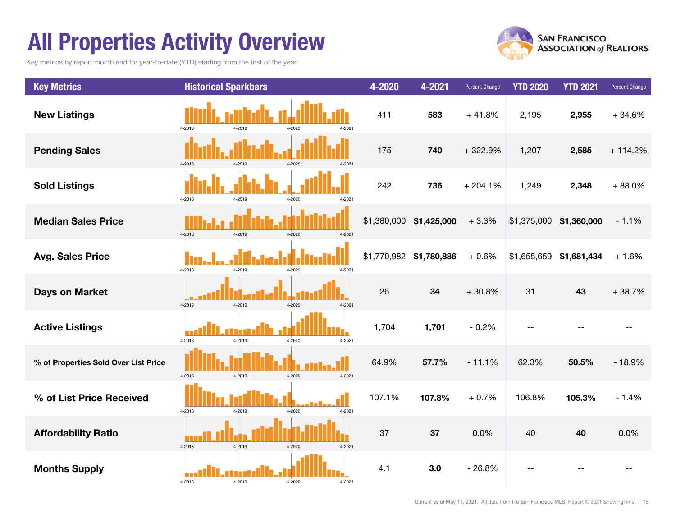### All Properties Activity Overview

Key metrics by report month and for year-to-date (YTD) starting from the first of the year.